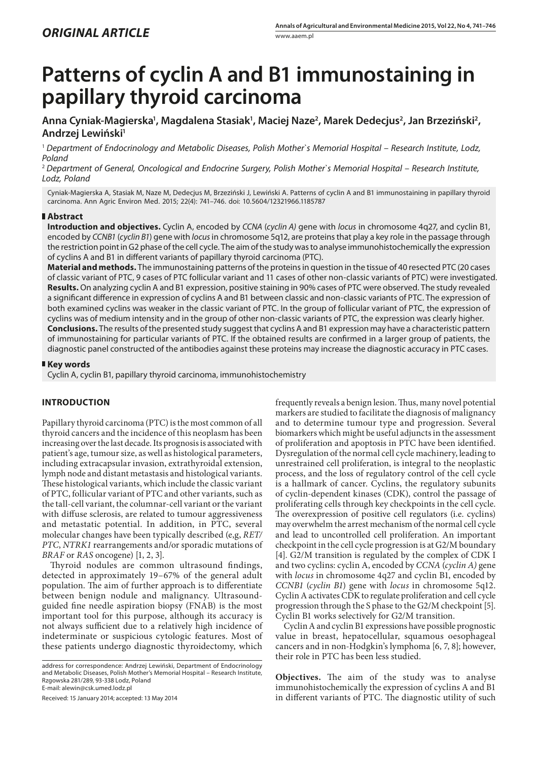# **Patterns of cyclin A and B1 immunostaining in papillary thyroid carcinoma**

Anna Cyniak-Magierska', Magdalena Stasiak', Maciej Naze<sup>2</sup>, Marek Dedecjus<sup>2</sup>, Jan Brzeziński<sup>2</sup>, **Andrzej Lewiński1**

<sup>1</sup> *Department of Endocrinology and Metabolic Diseases, Polish Mother`s Memorial Hospital – Research Institute, Lodz, Poland*

<sup>2</sup> *Department of General, Oncological and Endocrine Surgery, Polish Mother`s Memorial Hospital – Research Institute, Lodz, Poland*

Cyniak-Magierska A, Stasiak M, Naze M, Dedecjus M, Brzeziński J, Lewiński A. Patterns of cyclin A and B1 immunostaining in papillary thyroid carcinoma. Ann Agric Environ Med. 2015; 22(4): 741–746. doi: 10.5604/12321966.1185787

## **Abstract**

**Introduction and objectives.** Cyclin A, encoded by *CCNA* (*cyclin A)* gene with *locus* in chromosome 4q27, and cyclin B1, encoded by *CCNB1* (*cyclin B1*) gene with *locus* in chromosome 5q12, are proteins that play a key role in the passage through the restriction point in G2 phase of the cell cycle. The aim of the study was to analyse immunohistochemically the expression of cyclins A and B1 in different variants of papillary thyroid carcinoma (PTC).

**Material and methods.** The immunostaining patterns of the proteins in question in the tissue of 40 resected PTC (20 cases of classic variant of PTC, 9 cases of PTC follicular variant and 11 cases of other non-classic variants of PTC) were investigated. **Results.** On analyzing cyclin A and B1 expression, positive staining in 90% cases of PTC were observed. The study revealed a significant difference in expression of cyclins A and B1 between classic and non-classic variants of PTC. The expression of both examined cyclins was weaker in the classic variant of PTC. In the group of follicular variant of PTC, the expression of cyclins was of medium intensity and in the group of other non-classic variants of PTC, the expression was clearly higher. **Conclusions.** The results of the presented study suggest that cyclins A and B1 expression may have a characteristic pattern of immunostaining for particular variants of PTC. If the obtained results are confirmed in a larger group of patients, the diagnostic panel constructed of the antibodies against these proteins may increase the diagnostic accuracy in PTC cases.

#### **Key words**

Cyclin A, cyclin B1, papillary thyroid carcinoma, immunohistochemistry

## **INTRODUCTION**

Papillary thyroid carcinoma (PTC) is the most common of all thyroid cancers and the incidence of this neoplasm has been increasing over the last decade. Its prognosis is associated with patient's age, tumour size, as well as histological parameters, including extracapsular invasion, extrathyroidal extension, lymph node and distant metastasis and histological variants. These histological variants, which include the classic variant of PTC, follicular variant of PTC and other variants, such as the tall-cell variant, the columnar-cell variant or the variant with diffuse sclerosis, are related to tumour aggressiveness and metastatic potential. In addition, in PTC, several molecular changes have been typically described (e,g, *RET/ PTC*, *NTRK1* rearrangements and/or sporadic mutations of *BRAF* or *RAS* oncogene) [1, 2, 3].

Thyroid nodules are common ultrasound findings, detected in approximately 19–67% of the general adult population. The aim of further approach is to differentiate between benign nodule and malignancy. Ultrasoundguided fine needle aspiration biopsy (FNAB) is the most important tool for this purpose, although its accuracy is not always sufficient due to a relatively high incidence of indeterminate or suspicious cytologic features. Most of these patients undergo diagnostic thyroidectomy, which

Received: 15 January 2014; accepted: 13 May 2014

frequently reveals a benign lesion. Thus, many novel potential markers are studied to facilitate the diagnosis of malignancy and to determine tumour type and progression. Several biomarkers which might be useful adjuncts in the assessment of proliferation and apoptosis in PTC have been identified. Dysregulation of the normal cell cycle machinery, leading to unrestrained cell proliferation, is integral to the neoplastic process, and the loss of regulatory control of the cell cycle is a hallmark of cancer. Cyclins, the regulatory subunits of cyclin-dependent kinases (CDK), control the passage of proliferating cells through key checkpoints in the cell cycle. The overexpression of positive cell regulators (i.e. cyclins) may overwhelm the arrest mechanism of the normal cell cycle and lead to uncontrolled cell proliferation. An important checkpoint in the cell cycle progression is at G2/M boundary [4]. G2/M transition is regulated by the complex of CDK I and two cyclins: cyclin A, encoded by *CCNA* (*cyclin A)* gene with *locus* in chromosome 4q27 and cyclin B1, encoded by *CCNB1* (*cyclin B1*) gene with *locus* in chromosome 5q12. Cyclin A activates CDK to regulate proliferation and cell cycle progression through the S phase to the G2/M checkpoint [5]. Cyclin B1 works selectively for G2/M transition.

Cyclin A and cyclin B1 expressions have possible prognostic value in breast, hepatocellular, squamous oesophageal cancers and in non-Hodgkin's lymphoma [6, 7, 8]; however, their role in PTC has been less studied.

**Objectives.** The aim of the study was to analyse immunohistochemically the expression of cyclins A and B1 in different variants of PTC. The diagnostic utility of such

address for correspondence: Andrzej Lewiński, Department of Endocrinology and Metabolic Diseases, Polish Mother's Memorial Hospital – Research Institute, Rzgowska 281/289, 93-338 Lodz, Poland E-mail: alewin@csk.umed.lodz.pl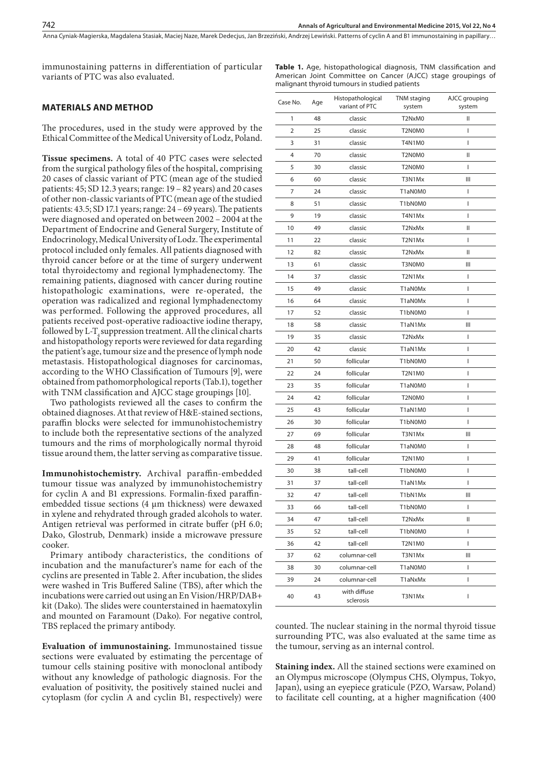Anna Cyniak-Magierska, Magdalena Stasiak, Maciej Naze, Marek Dedecjus, Jan Brzeziński, Andrzej Lewiński, Patterns of cyclin A and B1 immunostajning in papillary...

immunostaining patterns in differentiation of particular variants of PTC was also evaluated.

**Table 1.** Age, histopathological diagnosis, TNM classification and American Joint Committee on Cancer (AJCC) stage groupings of malignant thyroid tumours in studied patients

## **MATERIALS AND METHOD**

The procedures, used in the study were approved by the Ethical Committee of the Medical University of Lodz, Poland.

**Tissue specimens.** A total of 40 PTC cases were selected from the surgical pathology files of the hospital, comprising 20 cases of classic variant of PTC (mean age of the studied patients: 45; SD 12.3 years; range: 19 – 82 years) and 20 cases of other non-classic variants of PTC (mean age of the studied patients: 43.5; SD 17.1 years; range: 24 – 69 years). The patients were diagnosed and operated on between 2002 – 2004 at the Department of Endocrine and General Surgery, Institute of Endocrinology, Medical University of Lodz. The experimental protocol included only females. All patients diagnosed with thyroid cancer before or at the time of surgery underwent total thyroidectomy and regional lymphadenectomy. The remaining patients, diagnosed with cancer during routine histopathologic examinations, were re-operated, the operation was radicalized and regional lymphadenectomy was performed. Following the approved procedures, all patients received post-operative radioactive iodine therapy, followed by L-T, suppression treatment. All the clinical charts and histopathology reports were reviewed for data regarding the patient's age, tumour size and the presence of lymph node metastasis. Histopathological diagnoses for carcinomas, according to the WHO Classification of Tumours [9], were obtained from pathomorphological reports (Tab.1), together with TNM classification and AJCC stage groupings [10].

Two pathologists reviewed all the cases to confirm the obtained diagnoses. At that review of H&E-stained sections, paraffin blocks were selected for immunohistochemistry to include both the representative sections of the analyzed tumours and the rims of morphologically normal thyroid tissue around them, the latter serving as comparative tissue.

**Immunohistochemistry.** Archival paraffin-embedded tumour tissue was analyzed by immunohistochemistry for cyclin A and B1 expressions. Formalin-fixed paraffinembedded tissue sections (4 µm thickness) were dewaxed in xylene and rehydrated through graded alcohols to water. Antigen retrieval was performed in citrate buffer (pH 6.0; Dako, Glostrub, Denmark) inside a microwave pressure cooker.

Primary antibody characteristics, the conditions of incubation and the manufacturer's name for each of the cyclins are presented in Table 2. After incubation, the slides were washed in Tris Buffered Saline (TBS), after which the incubations were carried out using an En Vision/HRP/DAB+ kit (Dako). The slides were counterstained in haematoxylin and mounted on Faramount (Dako). For negative control, TBS replaced the primary antibody.

**Evaluation of immunostaining.** Immunostained tissue sections were evaluated by estimating the percentage of tumour cells staining positive with monoclonal antibody without any knowledge of pathologic diagnosis. For the evaluation of positivity, the positively stained nuclei and cytoplasm (for cyclin A and cyclin B1, respectively) were

| Case No.       | Age | Histopathological<br>variant of PTC | AJCC grouping<br>TNM staging<br>system<br>system |    |
|----------------|-----|-------------------------------------|--------------------------------------------------|----|
| 1              | 48  | classic                             | T2NxM0                                           | II |
| $\overline{2}$ | 25  | classic                             | T2N0M0                                           | T  |
| 3              | 31  | classic                             | T4N1M0                                           | I  |
| 4              | 70  | classic                             | T2N0M0                                           | II |
| 5              | 30  | classic                             | T2N0M0                                           | T  |
| 6              | 60  | classic                             | T3N1Mx                                           | Ш  |
| 7              | 24  | classic                             | T1aN0M0                                          | T  |
| 8              | 51  | classic                             | T1bN0M0                                          | I  |
| 9              | 19  | classic                             | T4N1Mx                                           | ı  |
| 10             | 49  | classic                             | T2NxMx                                           | Ш  |
| 11             | 22  | classic                             | T2N1Mx                                           | T  |
| 12             | 82  | classic                             | T2NxMx                                           | Ш  |
| 13             | 61  | classic                             | T3N0M0                                           | Ш  |
| 14             | 37  | classic                             | T2N1Mx                                           | ı  |
| 15             | 49  | classic                             | T1aN0Mx                                          | L  |
| 16             | 64  | classic                             | T1aN0Mx                                          | T  |
| 17             | 52  | classic                             | T1bN0M0                                          | T  |
| 18             | 58  | classic                             | T1aN1Mx                                          | Ш  |
| 19             | 35  | classic                             | T2NxMx                                           | I  |
| 20             | 42  | classic                             | T1aN1Mx                                          | T  |
| 21             | 50  | follicular                          | T1bN0M0                                          | I  |
| 22             | 24  | follicular                          | <b>T2N1M0</b>                                    | I  |
| 23             | 35  | follicular                          | T1aN0M0                                          | I  |
| 24             | 42  | follicular                          | T2N0M0                                           | I  |
| 25             | 43  | follicular                          | T1aN1M0                                          | ı  |
| 26             | 30  | follicular                          | T1bN0M0                                          | I  |
| 27             | 69  | follicular                          | T3N1Mx                                           | Ш  |
| 28             | 48  | follicular                          | T1aN0M0                                          | T  |
| 29             | 41  | follicular                          | T2N1M0                                           | I  |
| 30             | 38  | tall-cell                           | T1bN0M0                                          |    |
| 31             | 37  | tall-cell                           | T1aN1Mx                                          | L  |
| 32             | 47  | tall-cell                           | T1bN1Mx                                          | Ш  |
| 33             | 66  | tall-cell                           | T1bN0M0                                          | T  |
| 34             | 47  | tall-cell                           | T2NxMx                                           |    |
| 35             | 52  | tall-cell                           | T1bN0M0                                          | I  |
| 36             | 42  | tall-cell                           | <b>T2N1M0</b>                                    | L  |
| 37             | 62  | columnar-cell                       | T3N1Mx                                           | Ш  |
| 38             | 30  | columnar-cell                       | T1aN0M0                                          | L  |
| 39             | 24  | columnar-cell                       | T1aNxMx                                          | L  |
| 40             | 43  | with diffuse<br>sclerosis           | T3N1Mx                                           | L  |

counted. The nuclear staining in the normal thyroid tissue surrounding PTC, was also evaluated at the same time as the tumour, serving as an internal control.

**Staining index.** All the stained sections were examined on an Olympus microscope (Olympus CHS, Olympus, Tokyo, Japan), using an eyepiece graticule (PZO, Warsaw, Poland) to facilitate cell counting, at a higher magnification (400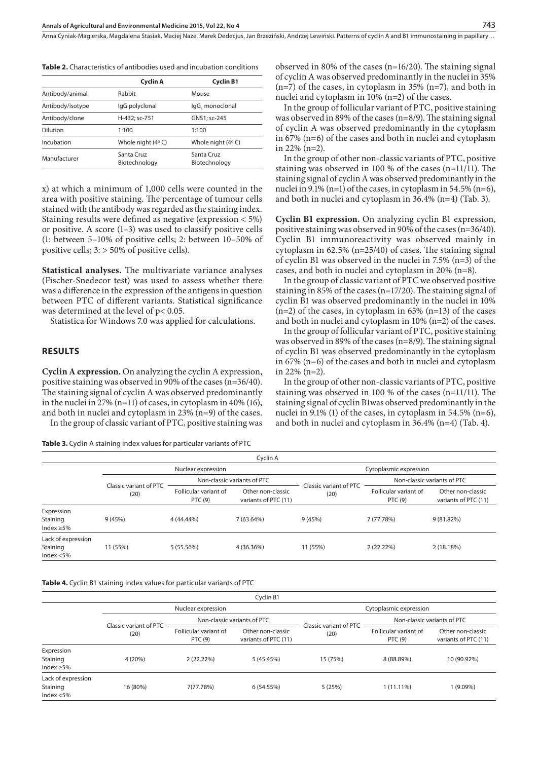|  |  |  |  |  |  |  |  |  | <b>Table 2.</b> Characteristics of antibodies used and incubation conditions |
|--|--|--|--|--|--|--|--|--|------------------------------------------------------------------------------|
|--|--|--|--|--|--|--|--|--|------------------------------------------------------------------------------|

|                  | Cyclin A                    | <b>Cyclin B1</b>            |
|------------------|-----------------------------|-----------------------------|
| Antibody/animal  | Rabbit                      | Mouse                       |
| Antibody/isotype | IgG polyclonal              | IgG, monoclonal             |
| Antibody/clone   | H-432: sc-751               | GNS1; sc-245                |
| Dilution         | 1:100                       | 1:100                       |
| Incubation       | Whole night (4°C)           | Whole night $(4^{\circ} C)$ |
| Manufacturer     | Santa Cruz<br>Biotechnology | Santa Cruz<br>Biotechnology |
|                  |                             |                             |

x) at which a minimum of 1,000 cells were counted in the area with positive staining. The percentage of tumour cells stained with the antibody was regarded as the staining index. Staining results were defined as negative (expression < 5%) or positive. A score (1–3) was used to classify positive cells (1: between 5–10% of positive cells; 2: between 10–50% of positive cells; 3: > 50% of positive cells).

**Statistical analyses.** The multivariate variance analyses (Fischer-Snedecor test) was used to assess whether there was a difference in the expression of the antigens in question between PTC of different variants. Statistical significance was determined at the level of p< 0.05.

Statistica for Windows 7.0 was applied for calculations.

#### **RESULTS**

**Cyclin A expression.** On analyzing the cyclin A expression, positive staining was observed in 90% of the cases (n=36/40). The staining signal of cyclin A was observed predominantly in the nuclei in 27%  $(n=11)$  of cases, in cytoplasm in 40% (16), and both in nuclei and cytoplasm in 23% (n=9) of the cases.

In the group of classic variant of PTC, positive staining was

**Table 3.** Cyclin A staining index values for particular variants of PTC

observed in 80% of the cases (n=16/20). The staining signal of cyclin A was observed predominantly in the nuclei in 35% (n=7) of the cases, in cytoplasm in 35% (n=7), and both in nuclei and cytoplasm in 10% (n=2) of the cases.

In the group of follicular variant of PTC, positive staining was observed in 89% of the cases (n=8/9). The staining signal of cyclin A was observed predominantly in the cytoplasm in 67% (n=6) of the cases and both in nuclei and cytoplasm in 22% (n=2).

In the group of other non-classic variants of PTC, positive staining was observed in 100 % of the cases (n=11/11). The staining signal of cyclin A was observed predominantly in the nuclei in 9.1% (n=1) of the cases, in cytoplasm in 54.5% (n=6), and both in nuclei and cytoplasm in 36.4% (n=4) (Tab. 3).

**Cyclin B1 expression.** On analyzing cyclin B1 expression, positive staining was observed in 90% of the cases (n=36/40). Cyclin B1 immunoreactivity was observed mainly in cytoplasm in 62.5% (n=25/40) of cases. The staining signal of cyclin B1 was observed in the nuclei in 7.5% (n=3) of the cases, and both in nuclei and cytoplasm in 20% (n=8).

In the group of classic variant of PTC we observed positive staining in 85% of the cases (n=17/20). The staining signal of cyclin B1 was observed predominantly in the nuclei in 10%  $(n=2)$  of the cases, in cytoplasm in 65%  $(n=13)$  of the cases and both in nuclei and cytoplasm in 10% (n=2) of the cases.

In the group of follicular variant of PTC, positive staining was observed in 89% of the cases (n=8/9). The staining signal of cyclin B1 was observed predominantly in the cytoplasm in 67% (n=6) of the cases and both in nuclei and cytoplasm in 22% (n=2).

In the group of other non-classic variants of PTC, positive staining was observed in 100 % of the cases (n=11/11). The staining signal of cyclin B1was observed predominantly in the nuclei in 9.1% (1) of the cases, in cytoplasm in 54.5% (n=6), and both in nuclei and cytoplasm in 36.4% (n=4) (Tab. 4).

| Cyclin A                                       |                                |                                  |                                           |                                |                                  |                                           |  |
|------------------------------------------------|--------------------------------|----------------------------------|-------------------------------------------|--------------------------------|----------------------------------|-------------------------------------------|--|
|                                                |                                | Nuclear expression               |                                           | Cytoplasmic expression         |                                  |                                           |  |
|                                                | Classic variant of PTC<br>(20) | Non-classic variants of PTC      |                                           |                                | Non-classic variants of PTC      |                                           |  |
|                                                |                                | Follicular variant of<br>PTC (9) | Other non-classic<br>variants of PTC (11) | Classic variant of PTC<br>(20) | Follicular variant of<br>PTC (9) | Other non-classic<br>variants of PTC (11) |  |
| Expression<br>Staining<br>Index $\geq$ 5%      | 9(45%)                         | 4 (44.44%)                       | $7(63.64\%)$                              | 9(45%)                         | 7 (77.78%)                       | $9(81.82\%)$                              |  |
| Lack of expression<br>Staining<br>Index $<$ 5% | 11 (55%)                       | 5 (55.56%)                       | 4 (36.36%)                                | 11 (55%)                       | $2(22.22\%)$                     | 2 (18.18%)                                |  |

**Table 4.** Cyclin B1 staining index values for particular variants of PTC

|                                                |                                |                                  | Cyclin B1                                 |                                |                                  |                                           |  |
|------------------------------------------------|--------------------------------|----------------------------------|-------------------------------------------|--------------------------------|----------------------------------|-------------------------------------------|--|
|                                                |                                | Nuclear expression               |                                           | Cytoplasmic expression         |                                  |                                           |  |
|                                                |                                | Non-classic variants of PTC      |                                           |                                | Non-classic variants of PTC      |                                           |  |
|                                                | Classic variant of PTC<br>(20) | Follicular variant of<br>PTC (9) | Other non-classic<br>variants of PTC (11) | Classic variant of PTC<br>(20) | Follicular variant of<br>PTC (9) | Other non-classic<br>variants of PTC (11) |  |
| Expression<br>Staining<br>Index $\geq$ 5%      | 4 (20%)                        | 2 (22.22%)                       | 5 (45.45%)                                | 15 (75%)                       | 8 (88.89%)                       | 10 (90.92%)                               |  |
| Lack of expression<br>Staining<br>Index $<$ 5% | 16 (80%)                       | 7(77.78%)                        | 6(54.55%)                                 | 5(25%)                         | $1(11.11\%)$                     | 1 (9.09%)                                 |  |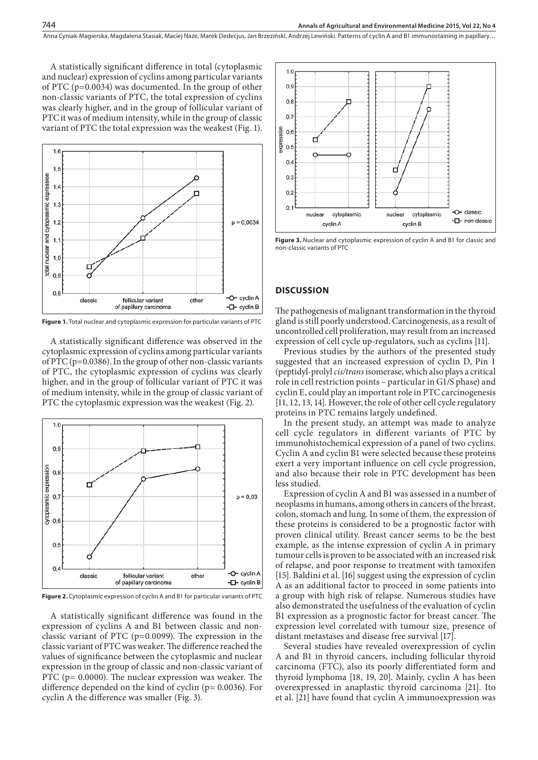A statistically significant difference in total (cytoplasmic and nuclear) expression of cyclins among particular variants of PTC (p=0.0034) was documented. In the group of other non-classic variants of PTC, the total expression of cyclins was clearly higher, and in the group of follicular variant of PTC it was of medium intensity, while in the group of classic variant of PTC the total expression was the weakest (Fig. 1).



**Figure 1.** Total nuclear and cytoplasmic expression for particular variants of PTC

A statistically significant difference was observed in the cytoplasmic expression of cyclins among particular variants of PTC (p=0.0386). In the group of other non-classic variants of PTC, the cytoplasmic expression of cyclins was clearly higher, and in the group of follicular variant of PTC it was of medium intensity, while in the group of classic variant of PTC the cytoplasmic expression was the weakest (Fig. 2).



**Figure 2.** Cytoplasmic expression of cyclin A and B1 for particular variants of PTC

A statistically significant difference was found in the expression of cyclins A and B1 between classic and nonclassic variant of PTC (p=0.0099). The expression in the classic variant of PTC was weaker. The difference reached the values of significance between the cytoplasmic and nuclear expression in the group of classic and non-classic variant of PTC (p= 0.0000). The nuclear expression was weaker. The difference depended on the kind of cyclin (p= 0.0036). For cyclin A the difference was smaller (Fig. 3).



**Figure 3.** Nuclear and cytoplasmic expression of cyclin A and B1 for classic and non-classic variants of PTC

#### **DISCUSSION**

The pathogenesis of malignant transformation in the thyroid gland is still poorly understood. Carcinogenesis, as a result of uncontrolled cell proliferation, may result from an increased expression of cell cycle up-regulators, such as cyclins [11].

Previous studies by the authors of the presented study suggested that an increased expression of cyclin D, Pin 1 (peptidyl-prolyl *cis/trans* isomerase, which also plays a critical role in cell restriction points – particular in G1/S phase) and cyclin E, could play an important role in PTC carcinogenesis [11, 12, 13, 14]. However, the role of other cell cycle regulatory proteins in PTC remains largely undefined.

In the present study, an attempt was made to analyze cell cycle regulators in different variants of PTC by immunohistochemical expression of a panel of two cyclins. Cyclin A and cyclin B1 were selected because these proteins exert a very important influence on cell cycle progression, and also because their role in PTC development has been less studied.

Expression of cyclin A and B1 was assessed in a number of neoplasms in humans, among others in cancers of the breast, colon, stomach and lung. In some of them, the expression of these proteins is considered to be a prognostic factor with proven clinical utility. Breast cancer seems to be the best example, as the intense expression of cyclin A in primary tumour cells is proven to be associated with an increased risk of relapse, and poor response to treatment with tamoxifen [15]. Baldini et al. [16] suggest using the expression of cyclin A as an additional factor to proceed in some patients into a group with high risk of relapse. Numerous studies have also demonstrated the usefulness of the evaluation of cyclin B1 expression as a prognostic factor for breast cancer. The expression level correlated with tumour size, presence of distant metastases and disease free survival [17].

Several studies have revealed overexpression of cyclin A and B1 in thyroid cancers, including follicular thyroid carcinoma (FTC), also its poorly differentiated form and thyroid lymphoma [18, 19, 20]. Mainly, cyclin A has been overexpressed in anaplastic thyroid carcinoma [21]. Ito et al. [21] have found that cyclin A immunoexpression was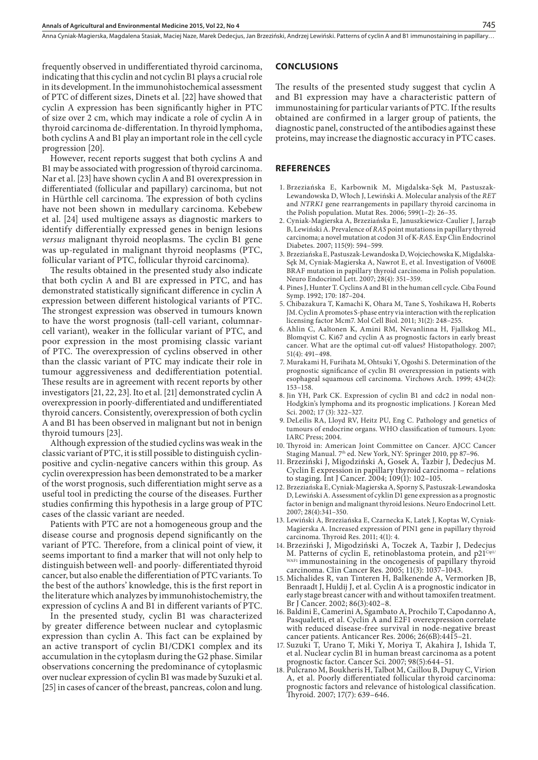Anna Cyniak-Magierska, Magdalena Stasiak, Maciej Naze, Marek Dedecjus, Jan Brzeziński, Andrzej Lewiński . Patterns of cyclin A and B1 immunostaining in papillary…

frequently observed in undifferentiated thyroid carcinoma, indicating that this cyclin and not cyclin B1 plays a crucial role in its development. In the immunohistochemical assessment of PTC of different sizes, Dinets et al. [22] have showed that cyclin A expression has been significantly higher in PTC of size over 2 cm, which may indicate a role of cyclin A in thyroid carcinoma de-differentation. In thyroid lymphoma, both cyclins A and B1 play an important role in the cell cycle progression [20].

However, recent reports suggest that both cyclins A and B1 may be associated with progression of thyroid carcinoma. Nar et al. [23] have shown cyclin A and B1 overexpression in differentiated (follicular and papillary) carcinoma, but not in Hürthle cell carcinoma. The expression of both cyclins have not been shown in medullary carcinoma. Kebebew et al. [24] used multigene assays as diagnostic markers to identify differentially expressed genes in benign lesions *versus* malignant thyroid neoplasms. The cyclin B1 gene was up-regulated in malignant thyroid neoplasms (PTC, follicular variant of PTC, follicular thyroid carcinoma).

The results obtained in the presented study also indicate that both cyclin A and B1 are expressed in PTC, and has demonstrated statistically significant difference in cyclin A expression between different histological variants of PTC. The strongest expression was observed in tumours known to have the worst prognosis (tall-cell variant, columnarcell variant), weaker in the follicular variant of PTC, and poor expression in the most promising classic variant of PTC. The overexpression of cyclins observed in other than the classic variant of PTC may indicate their role in tumour aggressiveness and dedifferentiation potential. These results are in agreement with recent reports by other investigators [21, 22, 23]. Ito et al. [21] demonstrated cyclin A overexpression in poorly-differentiated and undifferentiated thyroid cancers. Consistently, overexpression of both cyclin A and B1 has been observed in malignant but not in benign thyroid tumours [23].

Although expression of the studied cyclins was weak in the classic variant of PTC, it is still possible to distinguish cyclinpositive and cyclin-negative cancers within this group. As cyclin overexpression has been demonstrated to be a marker of the worst prognosis, such differentiation might serve as a useful tool in predicting the course of the diseases. Further studies confirming this hypothesis in a large group of PTC cases of the classic variant are needed.

Patients with PTC are not a homogeneous group and the disease course and prognosis depend significantly on the variant of PTC. Therefore, from a clinical point of view, it seems important to find a marker that will not only help to distinguish between well- and poorly- differentiated thyroid cancer, but also enable the differentiation of PTC variants. To the best of the authors' knowledge, this is the first report in the literature which analyzes by immunohistochemistry, the expression of cyclins A and B1 in different variants of PTC.

In the presented study, cyclin B1 was characterized by greater difference between nuclear and cytoplasmic expression than cyclin A. This fact can be explained by an active transport of cyclin B1/CDK1 complex and its accumulation in the cytoplasm during the G2 phase. Similar observations concerning the predominance of cytoplasmic over nuclear expression of cyclin B1 was made by Suzuki et al. [25] in cases of cancer of the breast, pancreas, colon and lung.

#### **CONCLUSIONS**

The results of the presented study suggest that cyclin A and B1 expression may have a characteristic pattern of immunostaining for particular variants of PTC. If the results obtained are confirmed in a larger group of patients, the diagnostic panel, constructed of the antibodies against these proteins, may increase the diagnostic accuracy in PTC cases.

#### **REFERENCES**

- 1. Brzeziańska E, Karbownik M, Migdalska-Sęk M, Pastuszak-Lewandowska D, Włoch J, Lewiński A. Molecular analysis of the *RET* and *NTRK1* gene rearrangements in papillary thyroid carcinoma in the Polish population. Mutat Res. 2006; 599(1–2): 26–35.
- 2. Cyniak-Magierska A, Brzeziańska E, Januszkiewicz-Caulier J, Jarząb B, Lewiński A. Prevalence of *RAS* point mutations in papillary thyroid carcinoma; a novel mutation at codon 31 of K-*RAS*. Exp Clin Endocrinol Diabetes. 2007; 115(9): 594–599.
- 3. Brzeziańska E, Pastuszak-Lewandoska D, Wojciechowska K, Migdalska-Sęk M, Cyniak-Magierska A, Nawrot E, et al. Investigation of V600E BRAF mutation in papillary thyroid carcinoma in Polish population. Neuro Endocrinol Lett. 2007; 28(4): 351–359.
- 4. Pines J, Hunter T. Cyclins A and B1 in the human cell cycle. Ciba Found Symp. 1992; 170: 187–204.
- 5. Chibazakura T, Kamachi K, Ohara M, Tane S, Yoshikawa H, Roberts JM. Cyclin A promotes S-phase entry via interaction with the replication licensing factor Mcm7. Mol Cell Biol. 2011; 31(2): 248–255.
- 6. Ahlin C, Aaltonen K, Amini RM, Nevanlinna H, Fjallskog ML, Blomqvist C. Ki67 and cyclin A as prognostic factors in early breast cancer. What are the optimal cut-off values? Histopathology. 2007; 51(4): 491–498.
- 7. Murakami H, Furihata M, Ohtsuki Y, Ogoshi S. Determination of the prognostic significance of cyclin B1 overexpression in patients with esophageal squamous cell carcinoma. Virchows Arch. 1999; 434(2): 153–158.
- 8. Jin YH, Park CK. Expression of cyclin B1 and cdc2 in nodal non-Hodgkin's lymphoma and its prognostic implications. J Korean Med Sci. 2002; 17 (3): 322–327.
- 9. DeLeilis RA, Lloyd RV, Heitz PU, Eng C. Pathology and genetics of tumours of endocrine organs. WHO classification of tumours. Lyon: IARC Press; 2004.
- 10. Thyroid in: American Joint Committee on Cancer. AJCC Cancer Staging Manual. 7th ed. New York, NY: Springer 2010, pp 87–96.
- 11. Brzeziński J, Migodziński A, Gosek A, Tazbir J, Dedecjus M. Cyclin E expression in papillary thyroid carcinoma – relations to staging. Int J Cancer. 2004; 109(1): 102–105.
- 12. Brzeziańska E,Cyniak-Magierska A, Sporny S, Pastuszak-Lewandoska D, Lewiński A. Assessment of cyklin D1 gene expression as a prognostic factor in benign and malignant thyroid lesions. Neuro Endocrinol Lett. 2007; 28(4):341–350.
- 13. Lewiński A, Brzeziańska E, Czarnecka K, Latek J, Koptas W, Cyniak-Magierska A. Increased expression of PIN1 gene in papillary thyroid carcinoma. Thyroid Res. 2011; 4(1): 4.
- 14. Brzeziński J, Migodziński A, Toczek A, Tazbir J, Dedecjus M. Patterns of cyclin E, retinoblastoma protein, and  $p21^{\text{Cipl}}$ WAF1 immunostaining in the oncogenesis of papillary thyroid carcinoma. Clin Cancer Res. 2005; 11(3): 1037–1043.
- 15. Michalides R, van Tinteren H, Balkenende A, Vermorken JB, Benraadt J, Huldij J, et al. Cyclin A is a prognostic indicator in early stage breast cancer with and without tamoxifen treatment. Br J Cancer. 2002; 86(3):402–8.
- 16. Baldini E, Camerini A, Sgambato A, Prochilo T, Capodanno A, Pasqualetti, et al. Cyclin A and E2F1 overexpression correlate with reduced disease-free survival in node-negative breast cancer patients. Anticancer Res. 2006; 26(6B):4415–21.
- 17. Suzuki T, Urano T, Miki Y, Moriya T, Akahira J, Ishida T, et al. Nuclear cyclin B1 in human breast carcinoma as a potent prognostic factor. Cancer Sci. 2007; 98(5):644–51.
- 18. Pulcrano M, Boukheris H, Talbot M, Caillou B, Dupuy C, Virion A, et al. Poorly differentiated follicular thyroid carcinoma: prognostic factors and relevance of histological classification. Thyroid. 2007; 17(7): 639–646.